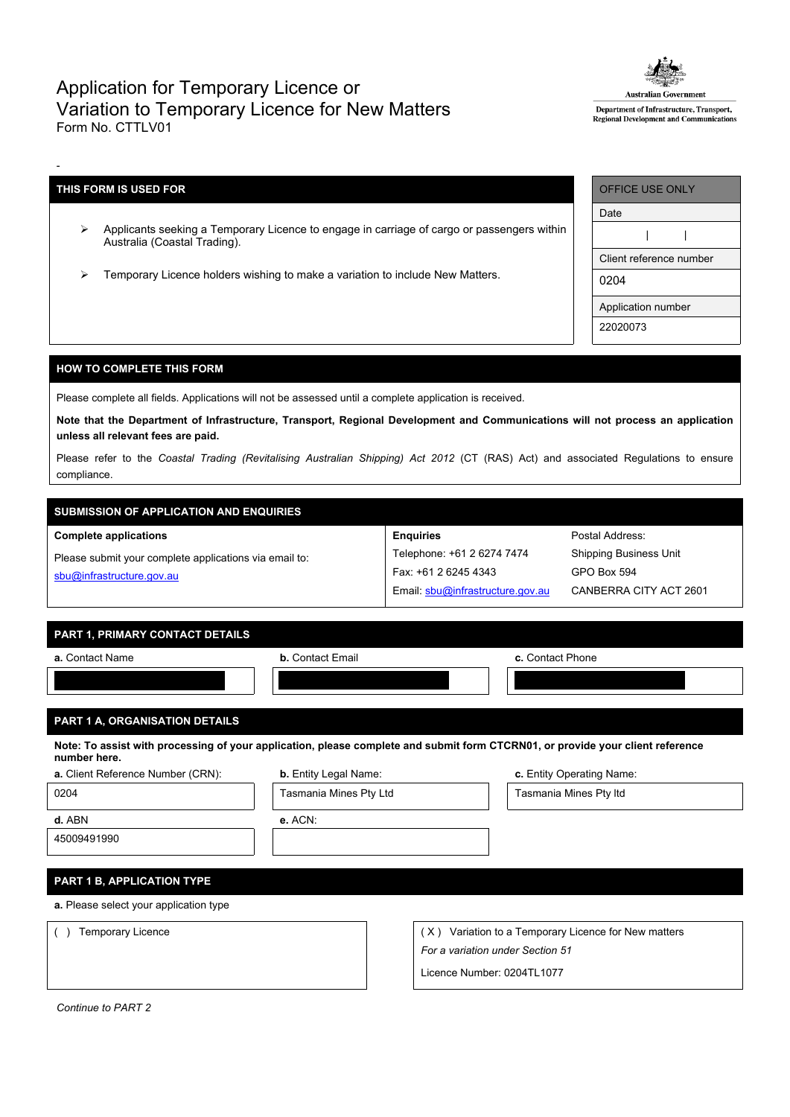# Application for Temporary Licence or Variation to Temporary Licence for New Matters Form No. CTTLV01



Department of Infrastructure, Transport, Regional Development and Communications

## **THIS FORM IS USED FOR**

-

- Applicants seeking a Temporary Licence to engage in carriage of cargo or passengers within Australia (Coastal Trading).
- Temporary Licence holders wishing to make a variation to include New Matters.

| <b>OFFICE USE ONLY</b>  |  |  |  |  |
|-------------------------|--|--|--|--|
| Date                    |  |  |  |  |
|                         |  |  |  |  |
| Client reference number |  |  |  |  |
| 0204                    |  |  |  |  |
| Application number      |  |  |  |  |
| 22020073                |  |  |  |  |

Postal Address: Shipping Business Unit

GPO Box 594

CANBERRA CITY ACT 2601

## **HOW TO COMPLETE THIS FORM**

Please complete all fields. Applications will not be assessed until a complete application is received.

Note that the Department of Infrastructure, Transport, Regional Development and Communications will not process an application **unless all relevant fees are paid.**

Please refer to the *Coastal Trading (Revitalising Australian Shipping) Act 2012* (CT (RAS) Act) and associated Regulations to ensure compliance.

**Enquiries**

Telephone: +61 2 6274 7474 Fax: +61 2 6245 4343

Email: [sbu@infrastructure.gov.au](mailto:sbu@infrastructure.gov.au)

# **SUBMISSION OF APPLICATION AND ENQUIRIES**

#### **Complete applications**

Please submit your complete applications via email to: [sbu@infrastructure.gov.au](mailto:sbu@infrastructure.gov.au)

|  | <b>PART 1. PRIMARY CONTACT DETAILS</b> |  |
|--|----------------------------------------|--|

| a. Contact Name                                                                                                                                | <b>b.</b> Contact Email      | c. Contact Phone          |  |  |  |  |
|------------------------------------------------------------------------------------------------------------------------------------------------|------------------------------|---------------------------|--|--|--|--|
|                                                                                                                                                |                              |                           |  |  |  |  |
|                                                                                                                                                |                              |                           |  |  |  |  |
| <b>PART 1 A, ORGANISATION DETAILS</b>                                                                                                          |                              |                           |  |  |  |  |
| Note: To assist with processing of your application, please complete and submit form CTCRN01, or provide your client reference<br>number here. |                              |                           |  |  |  |  |
| a. Client Reference Number (CRN):                                                                                                              | <b>b.</b> Entity Legal Name: | c. Entity Operating Name: |  |  |  |  |
| 0204                                                                                                                                           | Tasmania Mines Pty Ltd       | Tasmania Mines Pty Itd    |  |  |  |  |

45009491990

**d.** ABN **e.** ACN:

# **PART 1 B, APPLICATION TYPE**

**a.** Please select your application type

( ) Temporary Licence ( X ) Variation to a Temporary Licence for New matters *For a variation under Section 51*

Licence Number: 0204TL1077

*Continue to PART 2*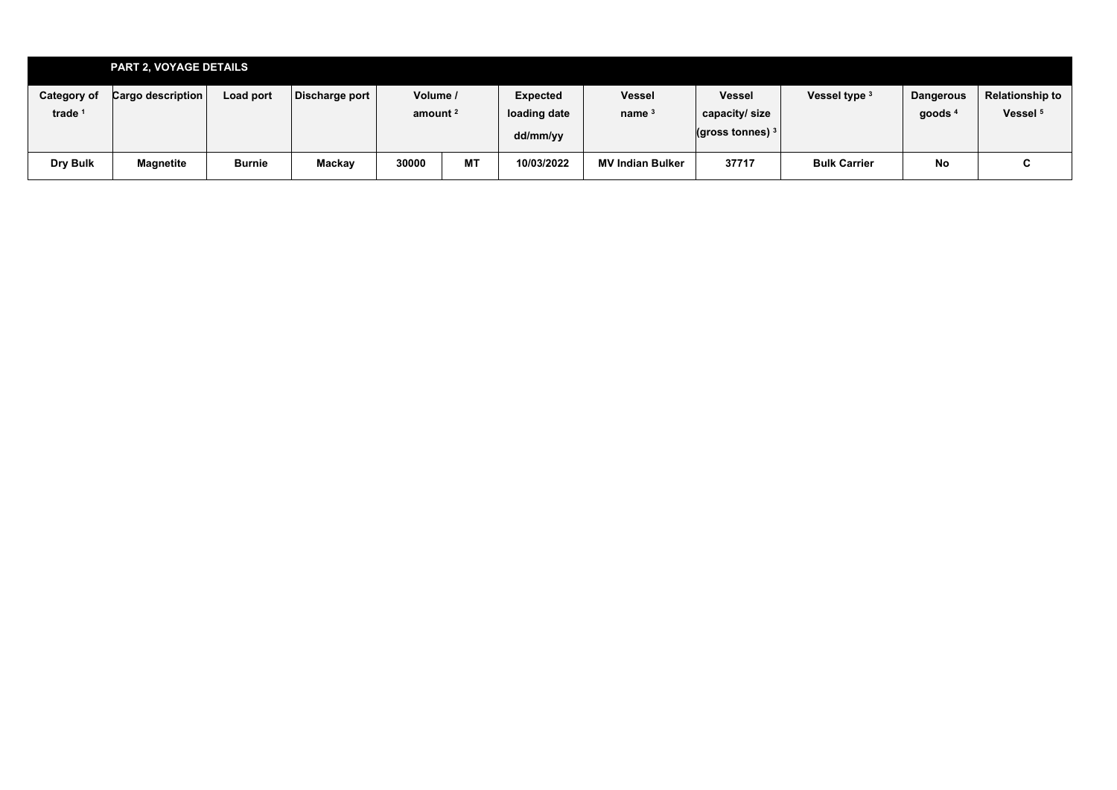| <b>PART 2, VOYAGE DETAILS</b> |                   |               |                |                     |           |              |                         |                                                      |                     |                  |                        |
|-------------------------------|-------------------|---------------|----------------|---------------------|-----------|--------------|-------------------------|------------------------------------------------------|---------------------|------------------|------------------------|
| <b>Category of</b>            | Cargo description | Load port     | Discharge port | Volume /            |           | Expected     | <b>Vessel</b>           | <b>Vessel</b>                                        | Vessel type         | <b>Dangerous</b> | <b>Relationship to</b> |
| trade <sup>1</sup>            |                   |               |                | amount <sup>2</sup> |           | loading date | name $3$                | capacity/size                                        |                     | goods '          | Vessel <sup>5</sup>    |
|                               |                   |               |                |                     |           | dd/mm/yy     |                         | $\left\vert \text{(gross tonnes)}\right\vert {}^{3}$ |                     |                  |                        |
| Dry Bulk                      | Magnetite         | <b>Burnie</b> | Mackay         | 30000               | <b>MT</b> | 10/03/2022   | <b>MV Indian Bulker</b> | 37717                                                | <b>Bulk Carrier</b> | No               | r<br>U                 |